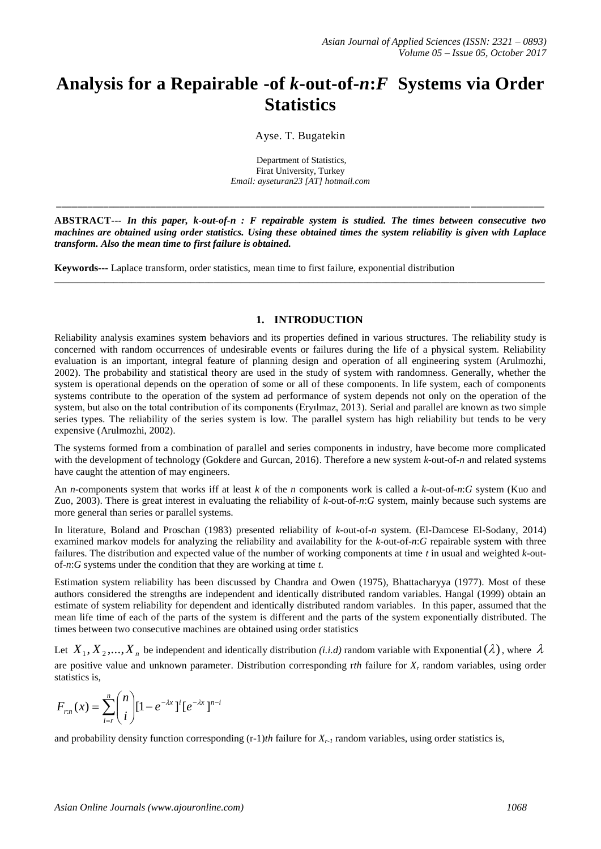# **Analysis for a Repairable -of** *k***-out-of-***n***:***F* **Systems via Order Statistics**

Ayse. T. Bugatekin

Department of Statistics, Firat University, Turkey *Email: ayseturan23 [AT] hotmail.com*

**ABSTRACT---** *In this paper, k-out-of-n : F repairable system is studied. The times between consecutive two machines are obtained using order statistics. Using these obtained times the system reliability is given with Laplace transform. Also the mean time to first failure is obtained.* 

\_\_\_\_\_\_\_\_\_\_\_\_\_\_\_\_\_\_\_\_\_\_\_\_\_\_\_\_\_\_\_\_\_\_\_\_\_\_\_\_\_\_\_\_\_\_\_\_\_\_\_\_\_\_\_\_\_\_\_\_\_\_\_\_\_\_\_\_\_\_\_\_\_\_\_\_\_\_\_\_\_\_\_\_\_\_\_\_\_\_\_\_\_\_\_\_\_\_\_\_\_\_\_\_\_\_\_\_

**\_\_\_\_\_\_\_\_\_\_\_\_\_\_\_\_\_\_\_\_\_\_\_\_\_\_\_\_\_\_\_\_\_\_\_\_\_\_\_\_\_\_\_\_\_\_\_\_\_\_\_\_\_\_\_\_\_\_\_\_\_\_\_\_\_\_\_\_\_\_\_\_\_\_\_\_\_\_\_ \_\_\_\_\_\_\_\_\_\_\_\_\_\_**

**Keywords---** Laplace transform, order statistics, mean time to first failure, exponential distribution

#### **1. INTRODUCTION**

Reliability analysis examines system behaviors and its properties defined in various structures. The reliability study is concerned with random occurrences of undesirable events or failures during the life of a physical system. Reliability evaluation is an important, integral feature of planning design and operation of all engineering system (Arulmozhi, 2002). The probability and statistical theory are used in the study of system with randomness. Generally, whether the system is operational depends on the operation of some or all of these components. In life system, each of components systems contribute to the operation of the system ad performance of system depends not only on the operation of the system, but also on the total contribution of its components (Eryılmaz, 2013). Serial and parallel are known as two simple series types. The reliability of the series system is low. The parallel system has high reliability but tends to be very expensive (Arulmozhi, 2002).

The systems formed from a combination of parallel and series components in industry, have become more complicated with the development of technology (Gokdere and Gurcan, 2016). Therefore a new system *k*-out-of-*n* and related systems have caught the attention of may engineers.

An *n*-components system that works iff at least *k* of the *n* components work is called a *k*-out-of-*n*:*G* system (Kuo and Zuo, 2003). There is great interest in evaluating the reliability of *k*-out-of-*n*:*G* system, mainly because such systems are more general than series or parallel systems.

In literature, Boland and Proschan (1983) presented reliability of *k*-out-of-*n* system. (El-Damcese El-Sodany, 2014) examined markov models for analyzing the reliability and availability for the *k*-out-of-*n*:*G* repairable system with three failures. The distribution and expected value of the number of working components at time *t* in usual and weighted *k*-outof-*n*:*G* systems under the condition that they are working at time *t*.

Estimation system reliability has been discussed by Chandra and Owen (1975), Bhattacharyya (1977). Most of these authors considered the strengths are independent and identically distributed random variables. Hangal (1999) obtain an estimate of system reliability for dependent and identically distributed random variables. In this paper, assumed that the mean life time of each of the parts of the system is different and the parts of the system exponentially distributed. The times between two consecutive machines are obtained using order statistics

Let  $X_1, X_2, ..., X_n$  be independent and identically distribution *(i.i.d)* random variable with Exponential  $(\lambda)$ , where  $\lambda$ are positive value and unknown parameter. Distribution corresponding r*th* failure for *X<sup>r</sup>* random variables, using order statistics is,

$$
F_{rn}(x) = \sum_{i=r}^{n} {n \choose i} [1 - e^{-\lambda x}]^{i} [e^{-\lambda x}]^{n-i}
$$

and probability density function corresponding  $(r-1)$ *th* failure for  $X_r$ , random variables, using order statistics is,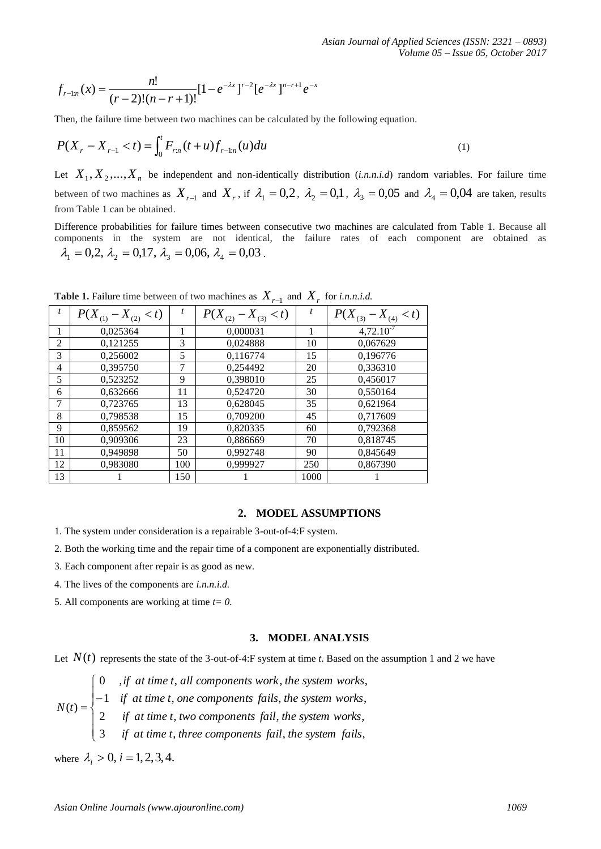$$
f_{r-1:n}(x) = \frac{n!}{(r-2)!(n-r+1)!} [1 - e^{-\lambda x}]^{r-2} [e^{-\lambda x}]^{n-r+1} e^{-x}
$$

$$
P(X_r - X_{r-1} < t) = \int_0^t F_{rn}(t+u) f_{r-1:n}(u) du \tag{1}
$$

|                                                                                                                                                                                                                                                                                                                                                          |                                             |                | $f_{r-1:n}(x) = \frac{n!}{(r-2)!(n-r+1)!} [1-e^{-\lambda x}]^{r-2} [e^{-\lambda x}]^{n-r+1} e^{-x}$ |              |                                                                                                                        |  |      |  |
|----------------------------------------------------------------------------------------------------------------------------------------------------------------------------------------------------------------------------------------------------------------------------------------------------------------------------------------------------------|---------------------------------------------|----------------|-----------------------------------------------------------------------------------------------------|--------------|------------------------------------------------------------------------------------------------------------------------|--|------|--|
|                                                                                                                                                                                                                                                                                                                                                          |                                             |                | Then, the failure time between two machines can be calculated by the following equation.            |              |                                                                                                                        |  |      |  |
| $P(X_r - X_{r-1} < t) = \int_0^t F_{rn}(t+u) f_{r-1:n}(u) du$<br>(1)                                                                                                                                                                                                                                                                                     |                                             |                |                                                                                                     |              |                                                                                                                        |  |      |  |
|                                                                                                                                                                                                                                                                                                                                                          |                                             |                |                                                                                                     |              | Let $X_1, X_2,,X_n$ be independent and non-identically distribution ( <i>i.n.n.i.d</i> ) random variables. For failure |  |      |  |
|                                                                                                                                                                                                                                                                                                                                                          |                                             |                |                                                                                                     |              |                                                                                                                        |  |      |  |
| between of two machines as $X_{r-1}$ and $X_r$ , if $\lambda_1 = 0.2$ , $\lambda_2 = 0.1$ , $\lambda_3 = 0.05$ and $\lambda_4 = 0.04$ are taken, re<br>from Table 1 can be obtained.                                                                                                                                                                     |                                             |                |                                                                                                     |              |                                                                                                                        |  |      |  |
|                                                                                                                                                                                                                                                                                                                                                          |                                             |                |                                                                                                     |              |                                                                                                                        |  |      |  |
| Difference probabilities for failure times between consecutive two machines are calculated from Table 1. Becaus<br>components in the system are not identical, the failure rates of each component are obtained                                                                                                                                          |                                             |                |                                                                                                     |              |                                                                                                                        |  |      |  |
| $\lambda_1 = 0.2$ , $\lambda_2 = 0.17$ , $\lambda_3 = 0.06$ , $\lambda_4 = 0.03$ .                                                                                                                                                                                                                                                                       |                                             |                |                                                                                                     |              |                                                                                                                        |  |      |  |
|                                                                                                                                                                                                                                                                                                                                                          |                                             |                |                                                                                                     |              |                                                                                                                        |  |      |  |
|                                                                                                                                                                                                                                                                                                                                                          |                                             |                |                                                                                                     |              |                                                                                                                        |  |      |  |
|                                                                                                                                                                                                                                                                                                                                                          |                                             |                | <b>Table 1.</b> Failure time between of two machines as $X_{r-1}$ and $X_r$ for <i>i.n.n.i.d.</i>   |              |                                                                                                                        |  |      |  |
| $\boldsymbol{t}$                                                                                                                                                                                                                                                                                                                                         | $P(X_{(1)} - X_{(2)} < t)$                  | $\mathfrak{t}$ | $P(X_{(2)} - X_{(3)} < t)$                                                                          |              | $P(X_{(3)} - X_{(4)} < t)$                                                                                             |  |      |  |
| 1                                                                                                                                                                                                                                                                                                                                                        | 0,025364                                    | 1              | 0,000031                                                                                            | $\mathbf{1}$ | $4,72.10^{7}$                                                                                                          |  |      |  |
| $\overline{c}$                                                                                                                                                                                                                                                                                                                                           | 0,121255                                    | 3              | 0,024888                                                                                            | 10           | 0,067629                                                                                                               |  |      |  |
| $\mathfrak{Z}$                                                                                                                                                                                                                                                                                                                                           | 0,256002                                    | 5              | 0,116774                                                                                            | 15           | 0,196776                                                                                                               |  |      |  |
| $\overline{4}$                                                                                                                                                                                                                                                                                                                                           | 0,395750                                    | 7              | 0,254492                                                                                            | 20           | 0,336310                                                                                                               |  |      |  |
| $\sqrt{5}$                                                                                                                                                                                                                                                                                                                                               | 0,523252                                    | 9              | 0,398010                                                                                            | 25           | 0,456017                                                                                                               |  |      |  |
| 6                                                                                                                                                                                                                                                                                                                                                        | 0,632666                                    | 11             | 0,524720                                                                                            | 30           | 0,550164                                                                                                               |  |      |  |
| $\boldsymbol{7}$<br>$\,8\,$                                                                                                                                                                                                                                                                                                                              | 0,723765                                    | 13<br>15       | 0,628045                                                                                            | 35<br>45     | 0,621964                                                                                                               |  |      |  |
| 9                                                                                                                                                                                                                                                                                                                                                        | 0,798538<br>0,859562                        | 19             | 0,709200<br>0,820335                                                                                | 60           | 0,717609<br>0,792368                                                                                                   |  |      |  |
| 10                                                                                                                                                                                                                                                                                                                                                       | 0,909306                                    | 23             | 0,886669                                                                                            | 70           | 0,818745                                                                                                               |  |      |  |
| 11                                                                                                                                                                                                                                                                                                                                                       | 0,949898                                    | 50             | 0,992748                                                                                            | 90           | 0,845649                                                                                                               |  |      |  |
| 12                                                                                                                                                                                                                                                                                                                                                       | 0,983080                                    | 100            | 0,999927                                                                                            | 250          | 0,867390                                                                                                               |  |      |  |
| 13                                                                                                                                                                                                                                                                                                                                                       | 1                                           | 150            | 1                                                                                                   | 1000         | 1                                                                                                                      |  |      |  |
|                                                                                                                                                                                                                                                                                                                                                          |                                             |                |                                                                                                     |              |                                                                                                                        |  |      |  |
|                                                                                                                                                                                                                                                                                                                                                          |                                             |                |                                                                                                     |              |                                                                                                                        |  |      |  |
|                                                                                                                                                                                                                                                                                                                                                          |                                             |                | 2.                                                                                                  |              | <b>MODEL ASSUMPTIONS</b>                                                                                               |  |      |  |
| 1. The system under consideration is a repairable 3-out-of-4:F system.                                                                                                                                                                                                                                                                                   |                                             |                |                                                                                                     |              |                                                                                                                        |  |      |  |
| 2. Both the working time and the repair time of a component are exponentially distributed.                                                                                                                                                                                                                                                               |                                             |                |                                                                                                     |              |                                                                                                                        |  |      |  |
|                                                                                                                                                                                                                                                                                                                                                          |                                             |                |                                                                                                     |              |                                                                                                                        |  |      |  |
| 3. Each component after repair is as good as new.                                                                                                                                                                                                                                                                                                        |                                             |                |                                                                                                     |              |                                                                                                                        |  |      |  |
| 4. The lives of the components are <i>i.n.n.i.d.</i>                                                                                                                                                                                                                                                                                                     |                                             |                |                                                                                                     |              |                                                                                                                        |  |      |  |
| 5. All components are working at time $t = 0$ .                                                                                                                                                                                                                                                                                                          |                                             |                |                                                                                                     |              |                                                                                                                        |  |      |  |
|                                                                                                                                                                                                                                                                                                                                                          |                                             |                |                                                                                                     |              |                                                                                                                        |  |      |  |
|                                                                                                                                                                                                                                                                                                                                                          |                                             |                | 3.                                                                                                  |              | <b>MODEL ANALYSIS</b>                                                                                                  |  |      |  |
| Let $N(t)$ represents the state of the 3-out-of-4:F system at time t. Based on the assumption 1 and 2 we have                                                                                                                                                                                                                                            |                                             |                |                                                                                                     |              |                                                                                                                        |  |      |  |
|                                                                                                                                                                                                                                                                                                                                                          |                                             |                |                                                                                                     |              |                                                                                                                        |  |      |  |
| $N(t) = \begin{cases} 0 & ,if \text{ at time } t \text{, all components work, the system works,} \\ -1 & if \text{ at time } t \text{, one components fails, the system works,} \\ 2 & if \text{ at time } t \text{, two components fail, the system works,} \\ 3 & if \text{ at time } t \text{, three components fail, the system fails,} \end{cases}$ |                                             |                |                                                                                                     |              |                                                                                                                        |  |      |  |
|                                                                                                                                                                                                                                                                                                                                                          |                                             |                |                                                                                                     |              |                                                                                                                        |  |      |  |
|                                                                                                                                                                                                                                                                                                                                                          |                                             |                |                                                                                                     |              |                                                                                                                        |  |      |  |
|                                                                                                                                                                                                                                                                                                                                                          |                                             |                |                                                                                                     |              |                                                                                                                        |  |      |  |
|                                                                                                                                                                                                                                                                                                                                                          |                                             |                |                                                                                                     |              |                                                                                                                        |  |      |  |
| where $\lambda_i > 0$ , $i = 1, 2, 3, 4$ .                                                                                                                                                                                                                                                                                                               |                                             |                |                                                                                                     |              |                                                                                                                        |  |      |  |
|                                                                                                                                                                                                                                                                                                                                                          |                                             |                |                                                                                                     |              |                                                                                                                        |  |      |  |
|                                                                                                                                                                                                                                                                                                                                                          |                                             |                |                                                                                                     |              |                                                                                                                        |  |      |  |
|                                                                                                                                                                                                                                                                                                                                                          |                                             |                |                                                                                                     |              |                                                                                                                        |  | 1069 |  |
|                                                                                                                                                                                                                                                                                                                                                          | Asian Online Journals (www.ajouronline.com) |                |                                                                                                     |              |                                                                                                                        |  |      |  |

**Table 1.** Failure time between of two machines as  $X_{r-1}$  and  $X_r$  for *i.n.n.i.d.* 

# **2. MODEL ASSUMPTIONS**

- 1. The system under consideration is a repairable 3-out-of-4:F system.
- 2. Both the working time and the repair time of a component are exponentially distributed.
- 3. Each component after repair is as good as new.
- 4. The lives of the components are *i.n.n.i.d.*
- 5. All components are working at time *t= 0.*

### **3. MODEL ANALYSIS**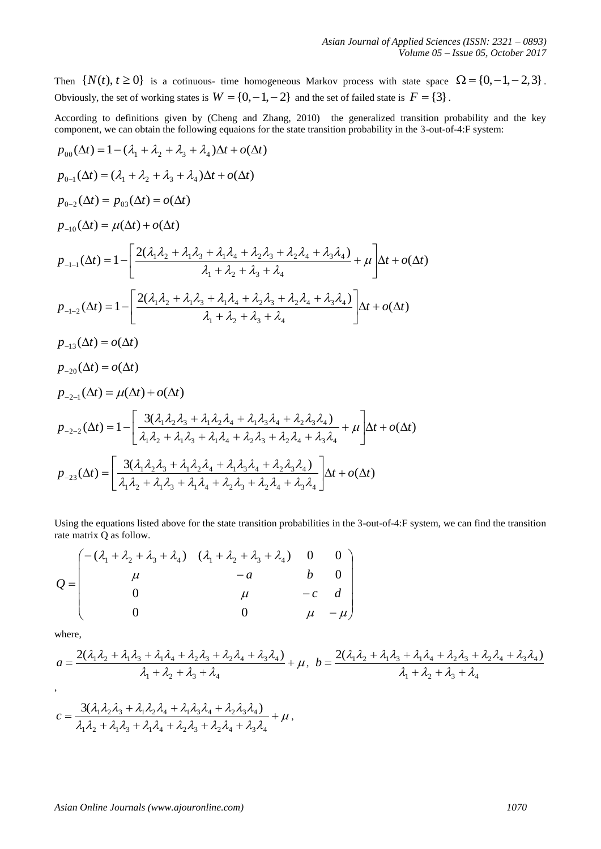Then  $\{N(t), t \ge 0\}$  is a cotinuous- time homogeneous Markov process with state space  $\Omega = \{0, -1, -2, 3\}$ . Obviously, the set of working states is  $W = \{0, -1, -2\}$  and the set of failed state is  $F = \{3\}$ .

According to definitions given by (Cheng and Zhang, 2010) the generalized transition probability and the key component, we can obtain the following equaions for the state transition probability in the 3-out-of-4:F system:

$$
p_{00}(\Delta t) = 1 - (\lambda_1 + \lambda_2 + \lambda_3 + \lambda_4) \Delta t + o(\Delta t)
$$
  
\n
$$
p_{0-1}(\Delta t) = (\lambda_1 + \lambda_2 + \lambda_3 + \lambda_4) \Delta t + o(\Delta t)
$$
  
\n
$$
p_{0-2}(\Delta t) = p_{03}(\Delta t) = o(\Delta t)
$$
  
\n
$$
p_{-10}(\Delta t) = \mu(\Delta t) + o(\Delta t)
$$
  
\n
$$
p_{-1-1}(\Delta t) = 1 - \left[ \frac{2(\lambda_1 \lambda_2 + \lambda_1 \lambda_3 + \lambda_1 \lambda_4 + \lambda_2 \lambda_3 + \lambda_2 \lambda_4 + \lambda_3 \lambda_4)}{\lambda_1 + \lambda_2 + \lambda_3 + \lambda_4} + \mu \right] \Delta t + o(\Delta t)
$$
  
\n
$$
p_{-1-2}(\Delta t) = 1 - \left[ \frac{2(\lambda_1 \lambda_2 + \lambda_1 \lambda_3 + \lambda_1 \lambda_4 + \lambda_2 \lambda_3 + \lambda_2 \lambda_4 + \lambda_3 \lambda_4)}{\lambda_1 + \lambda_2 + \lambda_3 + \lambda_4} \right] \Delta t + o(\Delta t)
$$
  
\n
$$
p_{-13}(\Delta t) = o(\Delta t)
$$
  
\n
$$
p_{-20}(\Delta t) = o(\Delta t)
$$
  
\n
$$
p_{-20}(\Delta t) = o(\Delta t)
$$
  
\n
$$
p_{-2-1}(\Delta t) = \mu(\Delta t) + o(\Delta t)
$$
  
\n
$$
p_{-2-2}(\Delta t) = 1 - \left[ \frac{3(\lambda_1 \lambda_2 \lambda_3 + \lambda_1 \lambda_2 \lambda_4 + \lambda_1 \lambda_3 \lambda_4 + \lambda_2 \lambda_3 \lambda_4)}{\lambda_1 + \lambda_2 \lambda_3 + \lambda_2 \lambda_4 + \lambda_3 \lambda_4} + \mu \right] \Delta t + o(\Delta t)
$$
  
\n
$$
p_{-2-2}(\Delta t) = 1 - \left[ \frac{3(\lambda_1 \lambda_2 \lambda_3 + \lambda_1 \lambda_3 + \lambda_1 \lambda_4 + \lambda_2 \lambda_3 + \lambda_2 \lambda_4 + \lambda_3 \lambda_4)}{\lambda_1 + \lambda_2 \lambda_3 + \
$$

Using the equations listed above for the state transition probabilities in the 3-out-of-4:F system, we can find the transition rate matrix Q as follow.

$$
Q = \begin{pmatrix} -(\lambda_1 + \lambda_2 + \lambda_3 + \lambda_4) & (\lambda_1 + \lambda_2 + \lambda_3 + \lambda_4) & 0 & 0 \\ \mu & -a & b & 0 \\ 0 & \mu & -c & d \\ 0 & 0 & \mu & -\mu \end{pmatrix}
$$

where,

$$
a = \frac{2(\lambda_1\lambda_2 + \lambda_1\lambda_3 + \lambda_1\lambda_4 + \lambda_2\lambda_3 + \lambda_2\lambda_4 + \lambda_3\lambda_4)}{\lambda_1 + \lambda_2 + \lambda_3 + \lambda_4} + \mu, \ b = \frac{2(\lambda_1\lambda_2 + \lambda_1\lambda_3 + \lambda_1\lambda_4 + \lambda_2\lambda_3 + \lambda_2\lambda_4 + \lambda_3\lambda_4)}{\lambda_1 + \lambda_2 + \lambda_3 + \lambda_4},
$$
  

$$
c = \frac{3(\lambda_1\lambda_2\lambda_3 + \lambda_1\lambda_2\lambda_4 + \lambda_1\lambda_3\lambda_4 + \lambda_2\lambda_3\lambda_4)}{\lambda_1 + \lambda_2 + \lambda_3 + \lambda_4} + \mu
$$

$$
c = \frac{3(\lambda_1\lambda_2\lambda_3 + \lambda_1\lambda_2\lambda_4 + \lambda_1\lambda_3\lambda_4 + \lambda_2\lambda_3\lambda_4)}{\lambda_1\lambda_2 + \lambda_1\lambda_3 + \lambda_1\lambda_4 + \lambda_2\lambda_3 + \lambda_2\lambda_4 + \lambda_3\lambda_4} + \mu
$$

#### *Asian Online Journals [\(www.ajouronline.com\)](http://www.ajouronline.com/) 1070*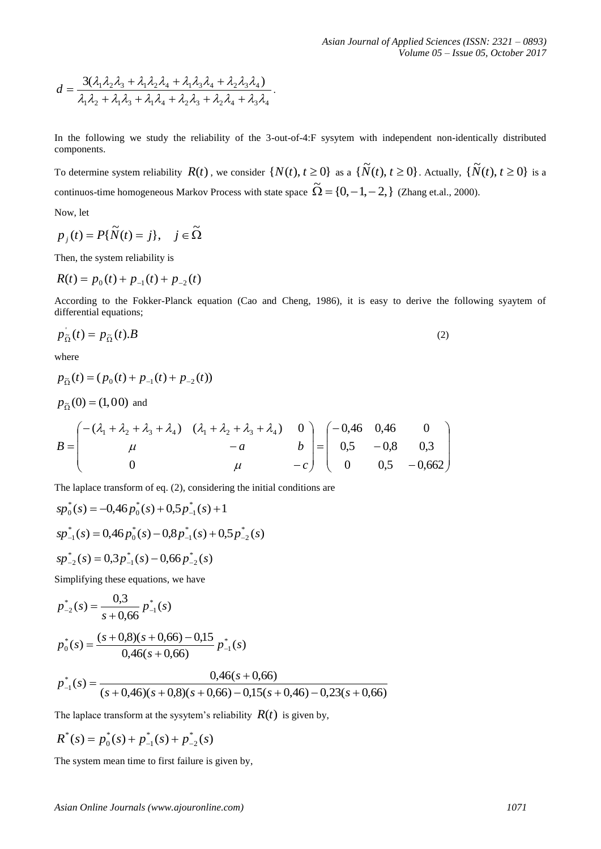$$
d = \frac{3(\lambda_1\lambda_2\lambda_3 + \lambda_1\lambda_2\lambda_4 + \lambda_1\lambda_3\lambda_4 + \lambda_2\lambda_3\lambda_4)}{\lambda_1\lambda_2 + \lambda_1\lambda_3 + \lambda_1\lambda_4 + \lambda_2\lambda_3 + \lambda_2\lambda_4 + \lambda_3\lambda_4}.
$$

In the following we study the reliability of the 3-out-of-4:F sysytem with independent non-identically distributed components.

To determine system reliability  $R(t)$ , we consider  $\{N(t), t \ge 0\}$  as a  $\{\tilde{N}(t), t \ge 0\}$ . Actually,  $\{\tilde{N}(t), t \ge 0\}$  is a continuos-time homogeneous Markov Process with state space  $\tilde{\Omega} = \{0, -1, -2, \}$  (Zhang et.al., 2000).

Now, let

$$
p_j(t) = P\{\widetilde{N}(t) = j\}, \quad j \in \widetilde{\Omega}
$$

Then, the system reliability is

$$
R(t) = p_0(t) + p_{-1}(t) + p_{-2}(t)
$$

According to the Fokker-Planck equation (Cao and Cheng, 1986), it is easy to derive the following syaytem of differential equations;

$$
p_{\tilde{\Omega}}^{\dagger}(t) = p_{\tilde{\Omega}}(t).B \tag{2}
$$

where

$$
p_{\tilde{\Omega}}(t) = (p_0(t) + p_{-1}(t) + p_{-2}(t))
$$
  
\n
$$
p_{\tilde{\Omega}}(0) = (1,00) \text{ and}
$$
  
\n
$$
B = \begin{pmatrix} -(\lambda_1 + \lambda_2 + \lambda_3 + \lambda_4) & (\lambda_1 + \lambda_2 + \lambda_3 + \lambda_4) & 0 \\ \mu & -a & b \\ 0 & \mu & -c \end{pmatrix} = \begin{pmatrix} -0.46 & 0.46 & 0 \\ 0.5 & -0.8 & 0.3 \\ 0 & 0.5 & -0.662 \end{pmatrix}
$$

The laplace transform of eq. (2), considering the initial conditions are

$$
sp_0^*(s) = -0,46p_0^*(s) + 0,5p_{-1}^*(s) + 1
$$
  
\n
$$
sp_{-1}^*(s) = 0,46p_0^*(s) - 0,8p_{-1}^*(s) + 0,5p_{-2}^*(s)
$$
  
\n
$$
sp_{-2}^*(s) = 0,3p_{-1}^*(s) - 0,66p_{-2}^*(s)
$$

Simplifying these equations, we have

$$
p_{-2}^{*}(s) = \frac{0.3}{s + 0.66} p_{-1}^{*}(s)
$$
  

$$
p_{0}^{*}(s) = \frac{(s + 0.8)(s + 0.66) - 0.15}{0.46(s + 0.66)} p_{-1}^{*}(s)
$$

$$
p_{-1}^*(s) = \frac{0,46(s+0,66)}{(s+0,46)(s+0,8)(s+0,66) - 0,15(s+0,46) - 0,23(s+0,66)}
$$

The laplace transform at the sysytem's reliability  $R(t)$  is given by,

$$
R^*(s) = p_0^*(s) + p_{-1}^*(s) + p_{-2}^*(s)
$$

The system mean time to first failure is given by,